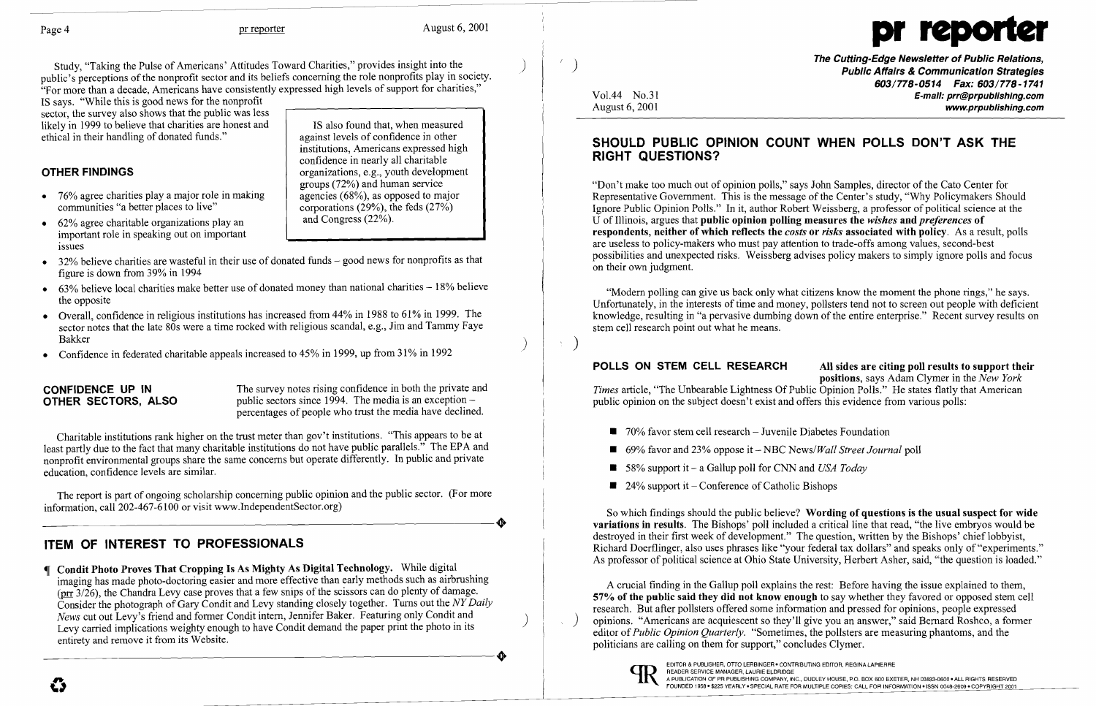$\boldsymbol{\mathcal{C}}$ 



The Cutting-Edge Newsletter of Public Relations, Public Affairs & Communication Strategies *603/778-0514 Fax: 603/778-1741*  Vol.44 No.31 **E-mail: prr@prpublishing.com**<br>August 6, 2001 www.prpublishing.com

Study, "Taking the Pulse of Americans' Attitudes Toward Charities," provides insight into the ) public's perceptions of the nonprofit sector and its beliefs concerning the role nonprofits play in society. "For more than a decade, Americans have consistently expressed high levels of support for charities,"

IS says. "While this is good news for the nonprofit sector, the survey also shows that the public was less likely in 1999 to believe that charities are honest and ethical in their handling of donated funds."

### OTHER FINDINGS

- • 76% agree charities playa major role in making communities "a better places to live"
- 62% agree charitable organizations play an important role in speaking out on important issues

**CONFIDENCE UP IN**<br>
The survey notes rising confidence in both the private and<br> **OTHER SECTORS.** ALSO<br>
public sectors since 1994. The media is an exception – public sectors since 1994. The media is an exception percentages of people who trust the media have declined.

IS also found that, when measured against levels of confidence in other institutions, Americans expressed high confidence in nearly all charitable organizations, e.g., youth development groups (72%) and human service agencies (68%), as opposed to major corporations (29%), the feds  $(27\%)$ and Congress (22%).

- 32% believe charities are wasteful in their use of donated funds good news for nonprofits as that figure is down from 39% in 1994
- $\bullet$  63% believe local charities make better use of donated money than national charities  $-18%$  believe the opposite
- • Overall, confidence in religious institutions has increased from 44% in 1988 to 61% in 1999. The sector notes that the late 80s were a time rocked with religious scandal, e.g., Jim and Tammy Faye Bakker )<br>
and the state of the state of the state of the state of the state of the state of the state of the state of t
- Confidence in federated charitable appeals increased to 45% in 1999, up from 31% in 1992

The report is part of ongoing scholarship concerning public opinion and the public sector. (For more information, call 202-467-6100 or visit www.IndependentSector.org) information, call 202-467-6100 or visit www.IndependentSector.org)

 Condit Photo Proves That Cropping Is As Mighty As Digital Technology. While digital imaging has made photo-doctoring easier and more effective than early methods such as airbrushing ( $\pi$  3/26), the Chandra Levy case proves that a few snips of the scissors can do plenty of damage. Consider the photograph of Gary Condit and Levy standing closely together. Turns out the *NY Daily News* cut out Levy's friend and former Condit intern, Jennifer Baker. Featuring only Condit and<br>Levy carried implications weighty enough to have Condit demand the paper print the photo in its entirety and remove it from its Website. Levy carried implications weighty enough to have Condit demand the paper print the photo in its entirety and remove it from its Website.

 $\cdots$  )

Charitable institutions rank higher on the trust meter than gov't institutions. "This appears to be at least partly due to the fact that many charitable institutions do not have public parallels." The EPA and nonprofit environmental groups share the same concerns but operate differently. In public and private education, confidence levels are similar.

### ITEM OF INTEREST TO PROFESSIONALS

### SHOULD PUBLIC OPINION COUNT WHEN POLLS DON'T ASK THE RIGHT QUESTIONS?

"Don't make too much out of opinion polls," says John Samples, director of the Cato Center for Representative Government. This is the message of the Center's study, "Why Policymakers Should Ignore Public Opinion Polls." In it, author Robert Weissberg, a professor of political science at the U of Illinois, argues that public opinion polling measures the *wishes* and *preferences* of respondents, neither of which reflects the *costs* or *risks* associated with policy. As a result, polls are useless to policy-makers who must pay attention to trade-offs among values, second-best possibilities and unexpected risks. Weissberg advises policy makers to simply ignore polls and focus on their own judgment.

"Modem polling can give us back only what citizens know the moment the phone rings," he says. Unfortunately, in the interests of time and money, pollsters tend not to screen out people with deficient knowledge, resulting in "a pervasive dumbing down of the entire enterprise." Recent survey results on stem cell research point out what he means.

POLLS ON STEM CELL RESEARCH All sides are citing poll results to support their positions, says Adam Clymer in the *New York Times* article, "The Unbearable Lightness Of Public Opinion Polls." He states flatly that American public opinion on the subject doesn't exist and offers this evidence from various polls:

- $\blacksquare$  70% favor stem cell research Juvenile Diabetes Foundation
- 69% favor and 23% oppose it NBC *News/Wall Street Journal* poll
- 58% support it a Gallup poll for CNN and *USA Today*
- $\blacksquare$  24% support it Conference of Catholic Bishops

So which findings should the public believe? Wording of questions is the usual suspect for wide variations in results. The Bishops' poll included a critical line that read, "the live embryos would be destroyed in their first week of development." The question, written by the Bishops' chief lobbyist, Richard Doerflinger, also uses phrases like "your federal tax dollars" and speaks only of "experiments." As professor of political science at Ohio State University, Herbert Asher, said, "the question is loaded."

A crucial finding in the Gallup poll explains the rest: Before having the issue explained to them, 57% of the public said they did not know enough to say whether they favored or opposed stem cell research. But after pollsters offered some information and pressed for opinions, people expressed  $\langle \cdot \rangle$  opinions. "Americans are acquiescent so they'll give you an answer," said Bernard Roshco, a former editor of*Public Opinion Quarterly.* "Sometimes, the pollsters are measuring phantoms, and the politicians are calling on them for support," concludes Clymer.

# EDITOR & PUBLISHER, OTTO LERBINGER • CONTRIBUTING EDITOR, REGINA LAPIERRE<br>READER SERVICE MANAGER, LAURIE ELDRIDGE<br>FOUNDED 1958 • \$225 YEARLY • SPECIAL RATE FOR MULTIPLE COPIES: CALL FOR INFORMATION • ISSN 0048-2609 • COPYR